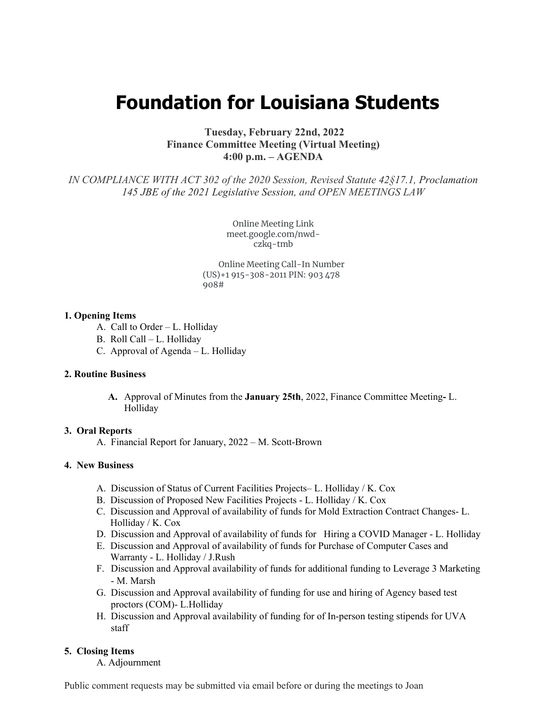# **Foundation for Louisiana Students**

## **Tuesday, February 22nd, 2022 Finance Committee Meeting (Virtual Meeting) 4:00 p.m. – AGENDA**

*IN COMPLIANCE WITH ACT 302 of the 2020 Session, Revised Statute 42§17.1, Proclamation 145 JBE of the 2021 Legislative Session, and OPEN MEETINGS LAW*

> Online Meeting Link meet.google.com/nwdczkq-tmb

Online Meeting Call-In Number (US)+1 915-308-2011 PIN: 903 478 908#

## **1. Opening Items**

- A. Call to Order L. Holliday
- B. Roll Call L. Holliday
- C. Approval of Agenda L. Holliday

## **2. Routine Business**

**A.** Approval of Minutes from the **January 25th**, 2022, Finance Committee Meeting**-** L. Holliday

#### **3. Oral Reports**

A. Financial Report for January, 2022 – M. Scott-Brown

## **4. New Business**

- A. Discussion of Status of Current Facilities Projects– L. Holliday / K. Cox
- B. Discussion of Proposed New Facilities Projects L. Holliday / K. Cox
- C. Discussion and Approval of availability of funds for Mold Extraction Contract Changes- L. Holliday / K. Cox
- D. Discussion and Approval of availability of funds for Hiring a COVID Manager L. Holliday
- E. Discussion and Approval of availability of funds for Purchase of Computer Cases and Warranty - L. Holliday / J.Rush
- F. Discussion and Approval availability of funds for additional funding to Leverage 3 Marketing - M. Marsh
- G. Discussion and Approval availability of funding for use and hiring of Agency based test proctors (COM)- L.Holliday
- H. Discussion and Approval availability of funding for of In-person testing stipends for UVA staff

### **5. Closing Items**

A. Adjournment

Public comment requests may be submitted via email before or during the meetings to Joan